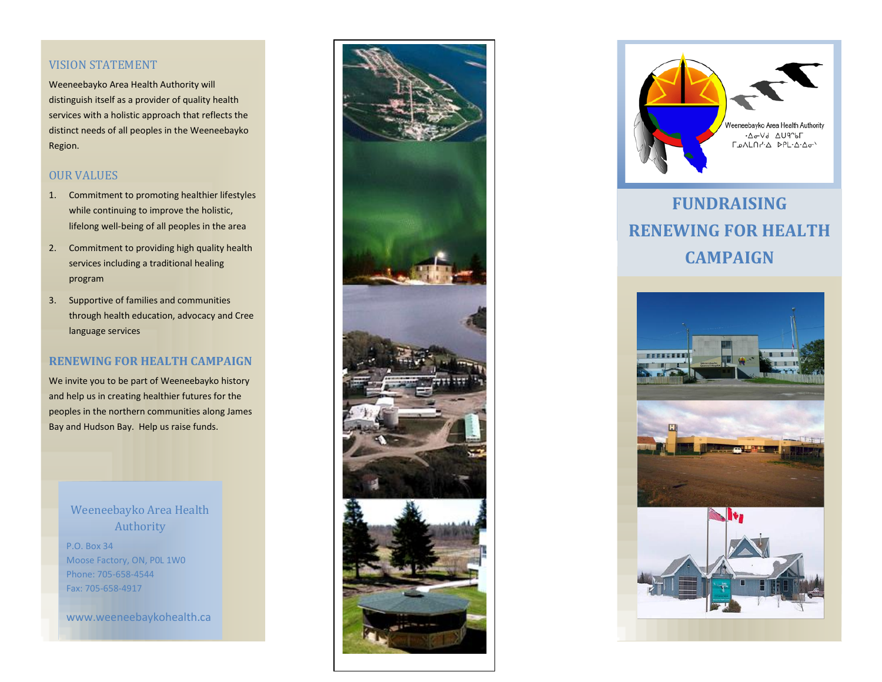#### VISION STATEMENT

Weeneebayko Area Health Authority will distinguish itself as a provider of quality health services with a holistic approach that reflects the distinct needs of all peoples in the Weeneebayko Region.

# OUR VALUES

- 1. Commitment to promoting healthier lifestyles while continuing to improve the holistic, lifelong well-being of all peoples in the area
- 2. Commitment to providing high quality health services including a traditional healing program
- 3. Supportive of families and communities through health education, advocacy and Cree language services

## **RENEWING FOR HEALTH CAMPAIGN**

We invite you to be part of Weeneebayko history and help us in creating healthier futures for the peoples in the northern communities along James Bay and Hudson Bay. Help us raise funds.

> Weeneebayko Area Health Authority

P.O. Box 34 Moose Factory, ON, P0L 1W0 Phone: 705-658-4544 Fax: 705-658-4917

www.weeneebaykohealth.ca





# **FUNDRAISING RENEWING FOR HEALTH CAMPAIGN**